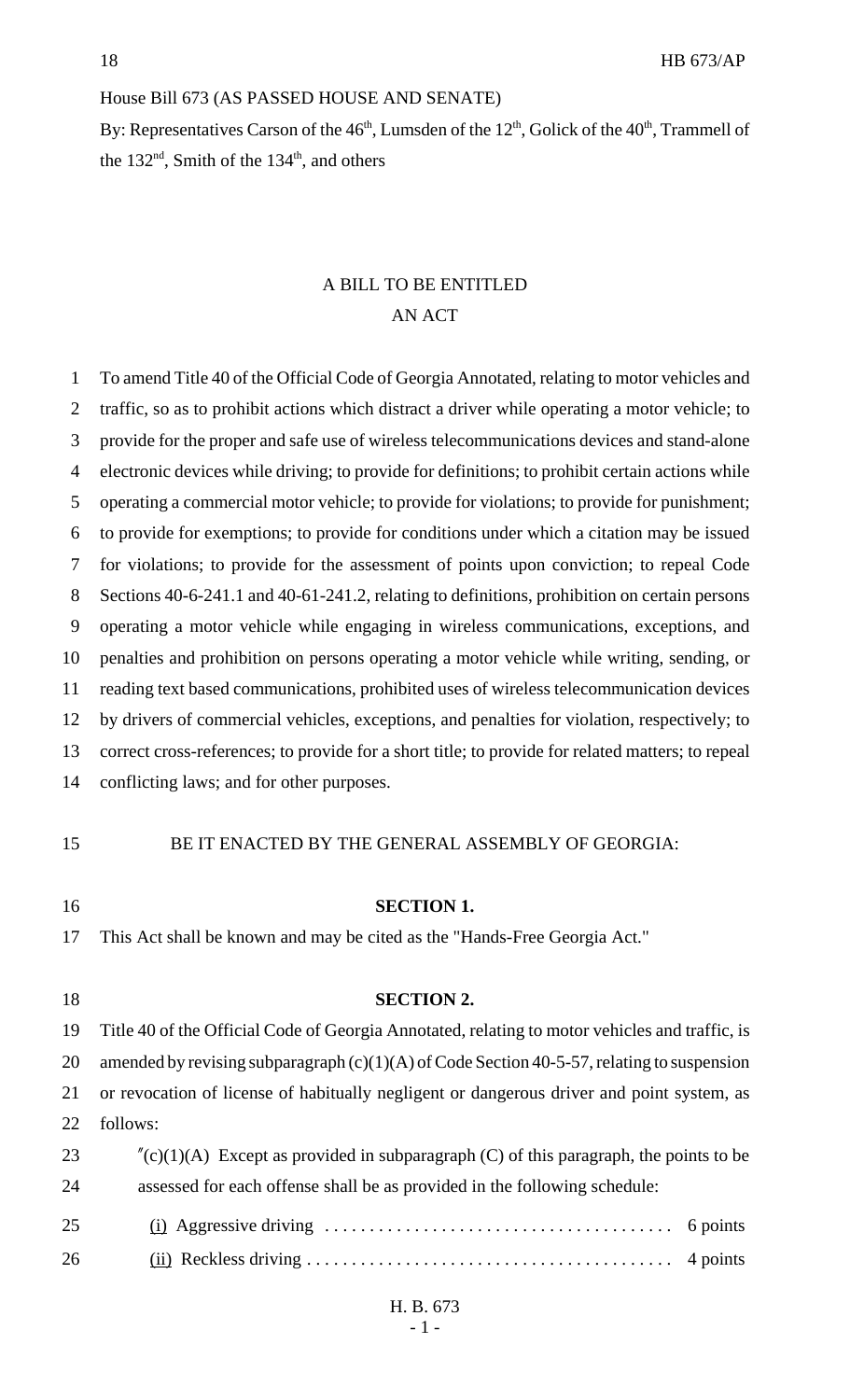## House Bill 673 (AS PASSED HOUSE AND SENATE)

By: Representatives Carson of the  $46<sup>th</sup>$ , Lumsden of the  $12<sup>th</sup>$ , Golick of the  $40<sup>th</sup>$ , Trammell of the  $132<sup>nd</sup>$ , Smith of the  $134<sup>th</sup>$ , and others

## A BILL TO BE ENTITLED AN ACT

| 1  | To amend Title 40 of the Official Code of Georgia Annotated, relating to motor vehicles and       |
|----|---------------------------------------------------------------------------------------------------|
| 2  | traffic, so as to prohibit actions which distract a driver while operating a motor vehicle; to    |
| 3  | provide for the proper and safe use of wireless telecommunications devices and stand-alone        |
| 4  | electronic devices while driving; to provide for definitions; to prohibit certain actions while   |
| 5  | operating a commercial motor vehicle; to provide for violations; to provide for punishment;       |
| 6  | to provide for exemptions; to provide for conditions under which a citation may be issued         |
| 7  | for violations; to provide for the assessment of points upon conviction; to repeal Code           |
| 8  | Sections 40-6-241.1 and 40-61-241.2, relating to definitions, prohibition on certain persons      |
| 9  | operating a motor vehicle while engaging in wireless communications, exceptions, and              |
| 10 | penalties and prohibition on persons operating a motor vehicle while writing, sending, or         |
| 11 | reading text based communications, prohibited uses of wireless telecommunication devices          |
| 12 | by drivers of commercial vehicles, exceptions, and penalties for violation, respectively; to      |
| 13 | correct cross-references; to provide for a short title; to provide for related matters; to repeal |
| 14 | conflicting laws; and for other purposes.                                                         |
|    |                                                                                                   |
| 15 | BE IT ENACTED BY THE GENERAL ASSEMBLY OF GEORGIA:                                                 |
|    |                                                                                                   |
| 16 | <b>SECTION 1.</b>                                                                                 |
| 17 | This Act shall be known and may be cited as the "Hands-Free Georgia Act."                         |
|    |                                                                                                   |
| 18 | <b>SECTION 2.</b>                                                                                 |
| 19 | Title 40 of the Official Code of Georgia Annotated, relating to motor vehicles and traffic, is    |
| 20 | amended by revising subparagraph $(c)(1)(A)$ of Code Section 40-5-57, relating to suspension      |
| 21 | or revocation of license of habitually negligent or dangerous driver and point system, as         |
| 22 | follows:                                                                                          |
| 23 | $\text{C}(c)(1)$ (A) Except as provided in subparagraph (C) of this paragraph, the points to be   |
| 24 | assessed for each offense shall be as provided in the following schedule:                         |
| 25 | 6 points                                                                                          |
| 26 | 4 points                                                                                          |
|    |                                                                                                   |

H. B. 673 - 1 -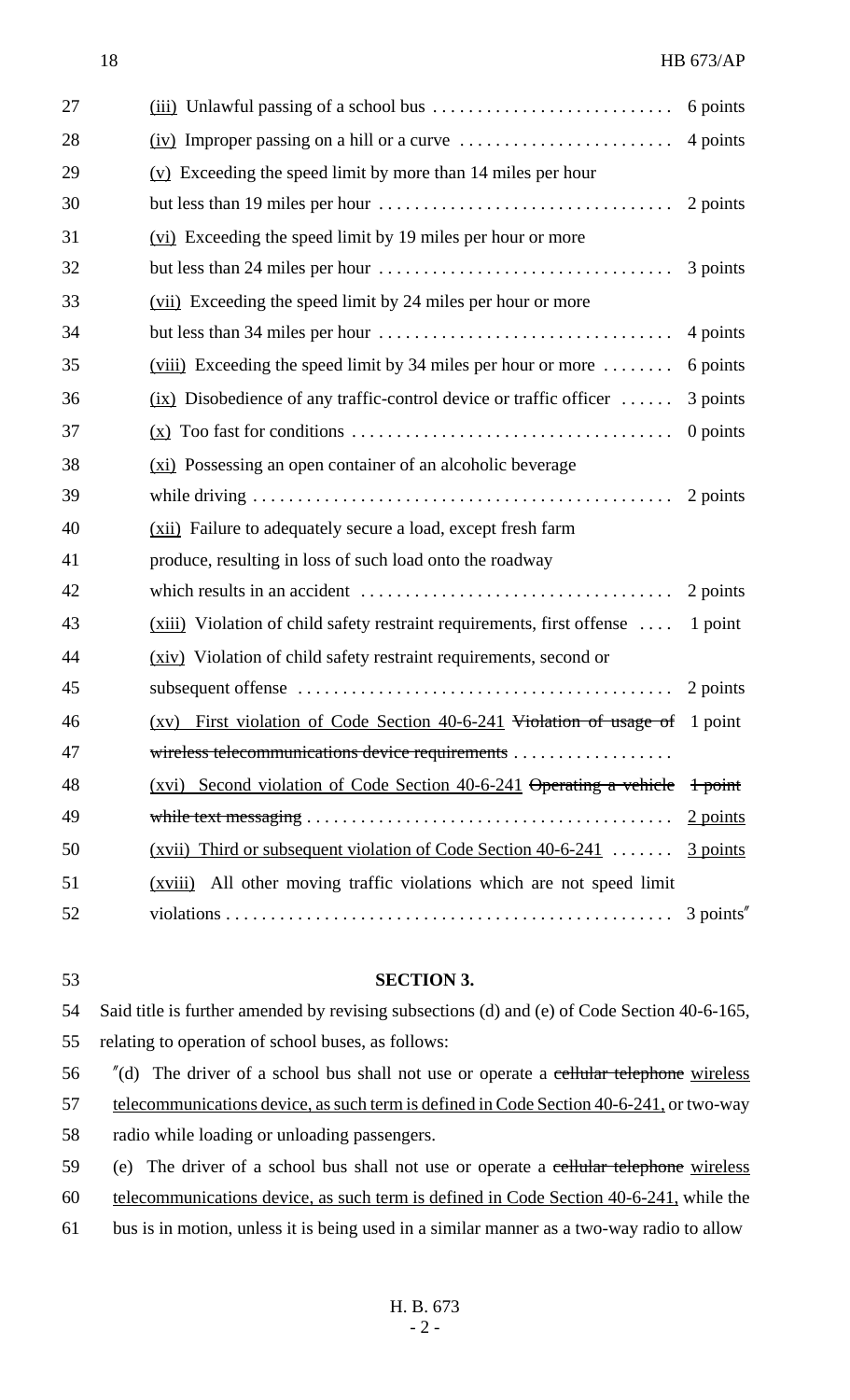| 27 |                                                                                                 | 6 points                     |
|----|-------------------------------------------------------------------------------------------------|------------------------------|
| 28 | $(iv)$ Improper passing on a hill or a curve $\dots \dots \dots \dots \dots \dots$              | 4 points                     |
| 29 | $(y)$ Exceeding the speed limit by more than 14 miles per hour                                  |                              |
| 30 |                                                                                                 | 2 points                     |
| 31 | (vi) Exceeding the speed limit by 19 miles per hour or more                                     |                              |
| 32 |                                                                                                 | 3 points                     |
| 33 | (vii) Exceeding the speed limit by 24 miles per hour or more                                    |                              |
| 34 | but less than $34$ miles per hour $\dots \dots \dots \dots \dots \dots \dots \dots \dots \dots$ | 4 points                     |
| 35 | $(viii)$ Exceeding the speed limit by 34 miles per hour or more $\dots\dots$                    | 6 points                     |
| 36 | $(ix)$ Disobedience of any traffic-control device or traffic officer                            | 3 points                     |
| 37 |                                                                                                 | $0$ points                   |
| 38 | (xi) Possessing an open container of an alcoholic beverage                                      |                              |
| 39 |                                                                                                 | 2 points                     |
| 40 | (xii) Failure to adequately secure a load, except fresh farm                                    |                              |
| 41 | produce, resulting in loss of such load onto the roadway                                        |                              |
| 42 |                                                                                                 | 2 points                     |
| 43 | $(xiii)$ Violation of child safety restraint requirements, first offense                        | 1 point                      |
| 44 | (xiv) Violation of child safety restraint requirements, second or                               |                              |
| 45 |                                                                                                 |                              |
| 46 | (xv) First violation of Code Section 40-6-241 Violation of usage of 1 point                     |                              |
| 47 |                                                                                                 |                              |
| 48 | (xvi) Second violation of Code Section 40-6-241 $\theta$ betating a vehicle $\theta$ + point    |                              |
| 49 |                                                                                                 | $\frac{2 \text{ points}}{2}$ |
| 50 | $(xvii)$ Third or subsequent violation of Code Section 40-6-241                                 | 3 points                     |
| 51 | All other moving traffic violations which are not speed limit<br>(xviii)                        |                              |
| 52 |                                                                                                 | 3 points"                    |

 **SECTION 3.** Said title is further amended by revising subsections (d) and (e) of Code Section 40-6-165, relating to operation of school buses, as follows: 56 "(d) The driver of a school bus shall not use or operate a cellular telephone wireless 57 telecommunications device, as such term is defined in Code Section 40-6-241, or two-way radio while loading or unloading passengers. 59 (e) The driver of a school bus shall not use or operate a cellular telephone wireless telecommunications device, as such term is defined in Code Section 40-6-241, while the

61 bus is in motion, unless it is being used in a similar manner as a two-way radio to allow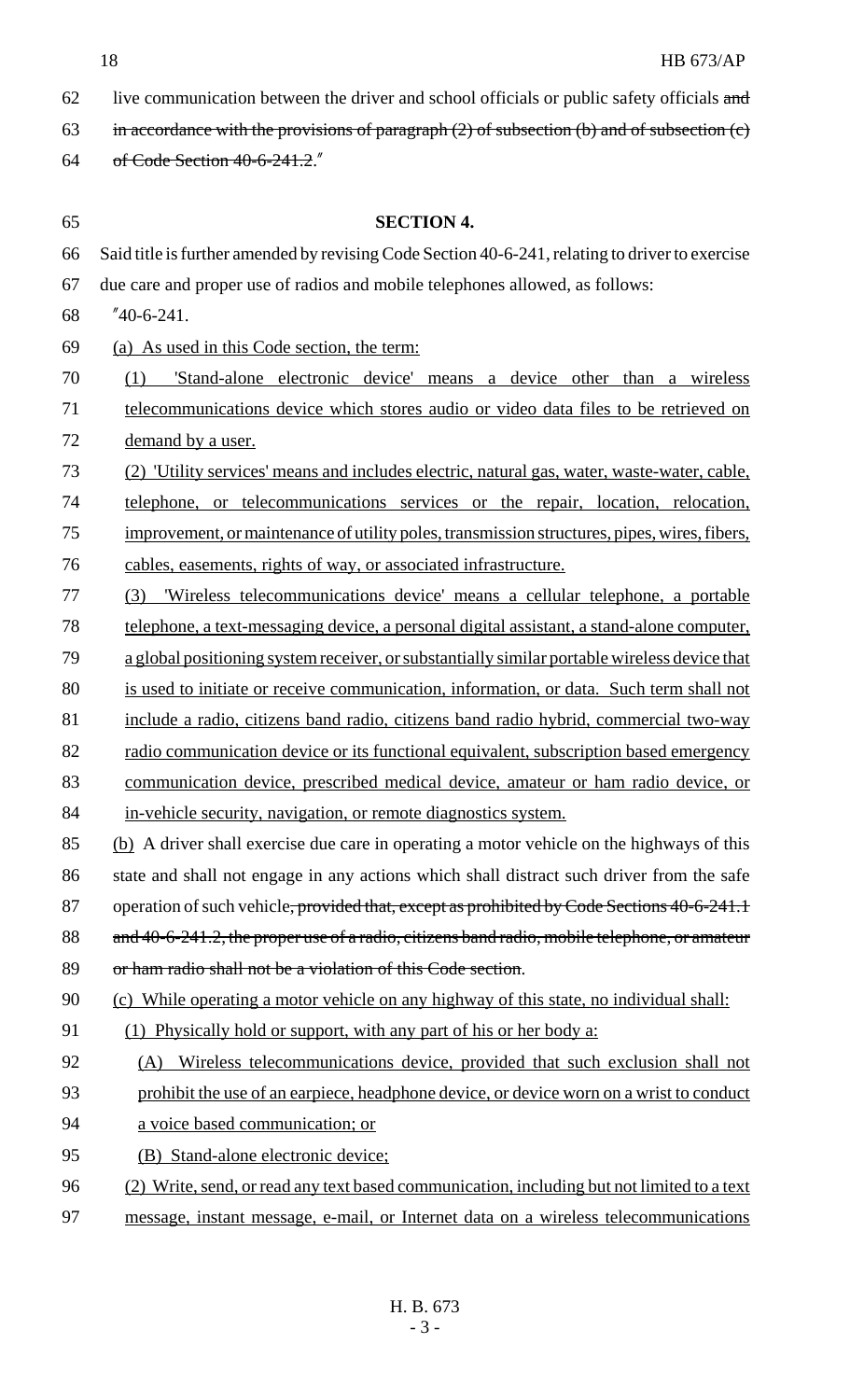- 62 live communication between the driver and school officials or public safety officials and
- 63 in accordance with the provisions of paragraph  $(2)$  of subsection  $(b)$  and of subsection  $(c)$
- of Code Section 40-6-241.2."
- **SECTION 4.** Said title is further amended by revising Code Section 40-6-241, relating to driver to exercise due care and proper use of radios and mobile telephones allowed, as follows: "40-6-241. (a) As used in this Code section, the term: (1) 'Stand-alone electronic device' means a device other than a wireless telecommunications device which stores audio or video data files to be retrieved on 72 demand by a user. (2) 'Utility services' means and includes electric, natural gas, water, waste-water, cable, telephone, or telecommunications services or the repair, location, relocation, improvement, or maintenance of utility poles, transmission structures, pipes, wires, fibers, cables, easements, rights of way, or associated infrastructure. (3) 'Wireless telecommunications device' means a cellular telephone, a portable telephone, a text-messaging device, a personal digital assistant, a stand-alone computer, a global positioning system receiver, or substantially similar portable wireless device that is used to initiate or receive communication, information, or data. Such term shall not 81 include a radio, citizens band radio, citizens band radio hybrid, commercial two-way 82 radio communication device or its functional equivalent, subscription based emergency communication device, prescribed medical device, amateur or ham radio device, or in-vehicle security, navigation, or remote diagnostics system. (b) A driver shall exercise due care in operating a motor vehicle on the highways of this 86 state and shall not engage in any actions which shall distract such driver from the safe 87 operation of such vehicle, provided that, except as prohibited by Code Sections 40-6-241.1 88 and 40-6-241.2, the proper use of a radio, citizens band radio, mobile telephone, or amateur 89 or ham radio shall not be a violation of this Code section. (c) While operating a motor vehicle on any highway of this state, no individual shall: (1) Physically hold or support, with any part of his or her body a: (A) Wireless telecommunications device, provided that such exclusion shall not prohibit the use of an earpiece, headphone device, or device worn on a wrist to conduct a voice based communication; or (B) Stand-alone electronic device; 96 (2) Write, send, or read any text based communication, including but not limited to a text message, instant message, e-mail, or Internet data on a wireless telecommunications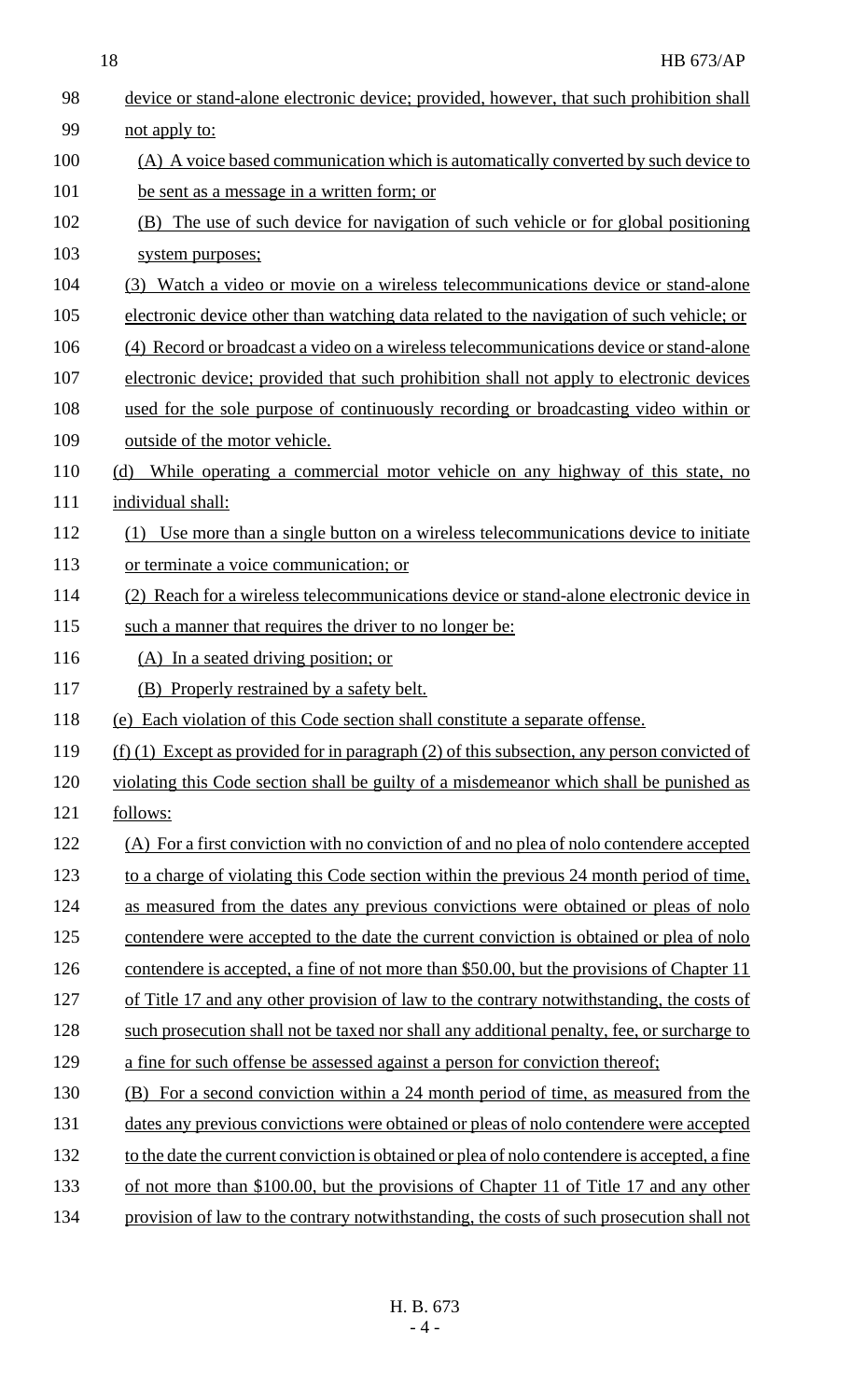18 HB 673/AP

| 98  | device or stand-alone electronic device; provided, however, that such prohibition shall       |
|-----|-----------------------------------------------------------------------------------------------|
| 99  | not apply to:                                                                                 |
| 100 | (A) A voice based communication which is automatically converted by such device to            |
| 101 | be sent as a message in a written form; or                                                    |
| 102 | (B) The use of such device for navigation of such vehicle or for global positioning           |
| 103 | system purposes;                                                                              |
| 104 | (3) Watch a video or movie on a wireless telecommunications device or stand-alone             |
| 105 | electronic device other than watching data related to the navigation of such vehicle; or      |
| 106 | (4) Record or broadcast a video on a wireless telecommunications device or stand-alone        |
| 107 | electronic device; provided that such prohibition shall not apply to electronic devices       |
| 108 | used for the sole purpose of continuously recording or broadcasting video within or           |
| 109 | outside of the motor vehicle.                                                                 |
| 110 | While operating a commercial motor vehicle on any highway of this state, no<br>(d)            |
| 111 | individual shall:                                                                             |
| 112 | Use more than a single button on a wireless telecommunications device to initiate             |
| 113 | or terminate a voice communication; or                                                        |
| 114 | (2) Reach for a wireless telecommunications device or stand-alone electronic device in        |
| 115 | such a manner that requires the driver to no longer be:                                       |
| 116 | (A) In a seated driving position; or                                                          |
| 117 | (B) Properly restrained by a safety belt.                                                     |
| 118 | (e) Each violation of this Code section shall constitute a separate offense.                  |
| 119 | $(f)$ (1) Except as provided for in paragraph (2) of this subsection, any person convicted of |
| 120 | violating this Code section shall be guilty of a misdemeanor which shall be punished as       |
| 121 | follows:                                                                                      |
| 122 | (A) For a first conviction with no conviction of and no plea of nolo contendere accepted      |
| 123 | to a charge of violating this Code section within the previous 24 month period of time,       |
| 124 | as measured from the dates any previous convictions were obtained or pleas of nolo            |
| 125 | contendere were accepted to the date the current conviction is obtained or plea of nolo       |
| 126 | contendere is accepted, a fine of not more than \$50.00, but the provisions of Chapter 11     |
| 127 | of Title 17 and any other provision of law to the contrary notwithstanding, the costs of      |
| 128 | such prosecution shall not be taxed nor shall any additional penalty, fee, or surcharge to    |
| 129 | a fine for such offense be assessed against a person for conviction thereof;                  |
| 130 | (B) For a second conviction within a 24 month period of time, as measured from the            |
| 131 | dates any previous convictions were obtained or pleas of nolo contendere were accepted        |
| 132 | to the date the current conviction is obtained or plea of nolo contendere is accepted, a fine |
| 133 | of not more than \$100.00, but the provisions of Chapter 11 of Title 17 and any other         |
| 134 | provision of law to the contrary notwithstanding, the costs of such prosecution shall not     |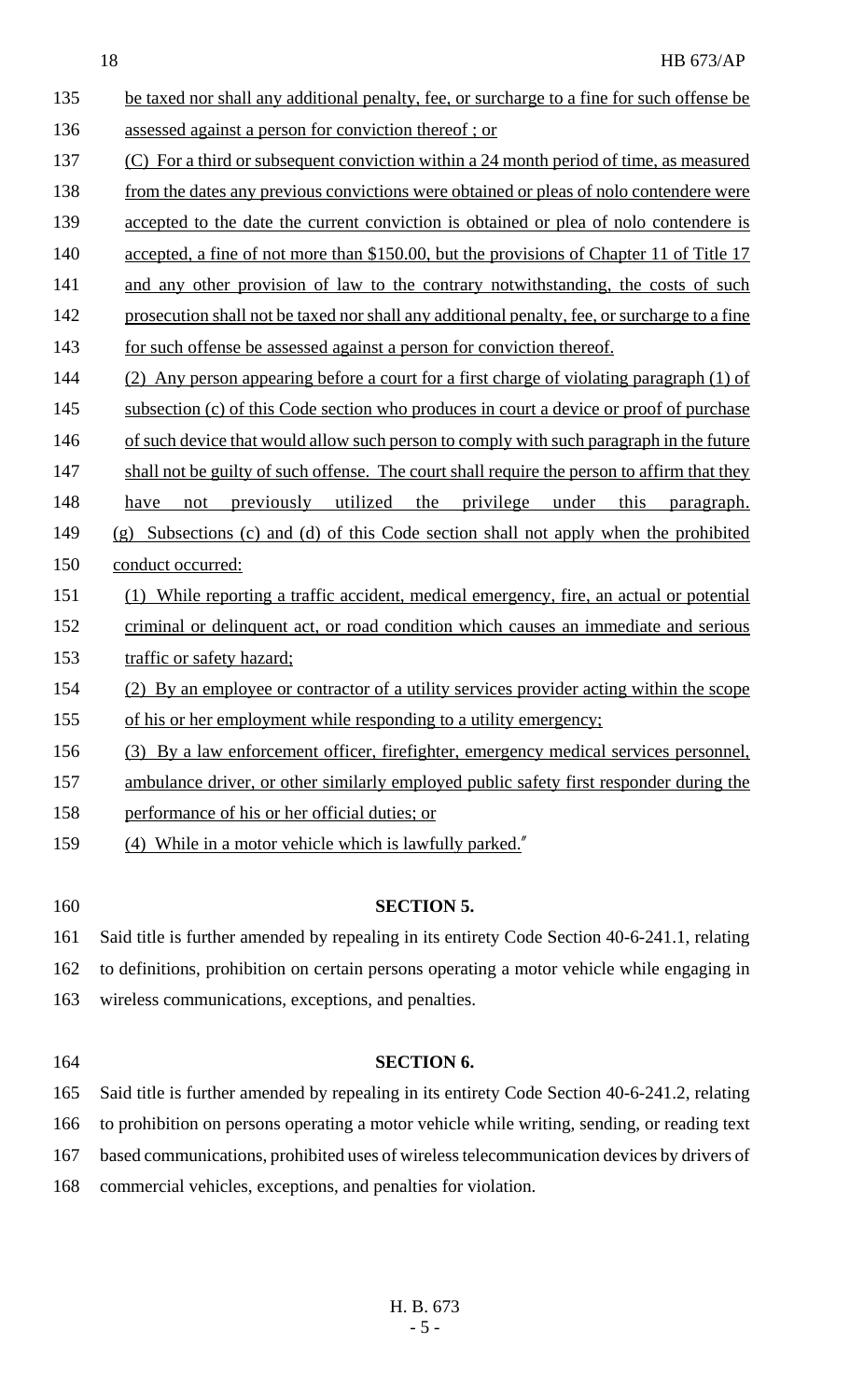- 135 be taxed nor shall any additional penalty, fee, or surcharge to a fine for such offense be 136 assessed against a person for conviction thereof ; or 137 (C) For a third or subsequent conviction within a 24 month period of time, as measured 138 from the dates any previous convictions were obtained or pleas of nolo contendere were 139 accepted to the date the current conviction is obtained or plea of nolo contendere is 140 accepted, a fine of not more than \$150.00, but the provisions of Chapter 11 of Title 17 141 and any other provision of law to the contrary notwithstanding, the costs of such 142 prosecution shall not be taxed nor shall any additional penalty, fee, or surcharge to a fine 143 for such offense be assessed against a person for conviction thereof. 144 (2) Any person appearing before a court for a first charge of violating paragraph (1) of 145 subsection (c) of this Code section who produces in court a device or proof of purchase 146 of such device that would allow such person to comply with such paragraph in the future 147 shall not be guilty of such offense. The court shall require the person to affirm that they 148 have not previously utilized the privilege under this paragraph. 149 (g) Subsections (c) and (d) of this Code section shall not apply when the prohibited 150 conduct occurred: 151 (1) While reporting a traffic accident, medical emergency, fire, an actual or potential 152 criminal or delinquent act, or road condition which causes an immediate and serious 153 traffic or safety hazard; 154 (2) By an employee or contractor of a utility services provider acting within the scope 155 of his or her employment while responding to a utility emergency; 156 (3) By a law enforcement officer, firefighter, emergency medical services personnel, 157 ambulance driver, or other similarly employed public safety first responder during the 158 performance of his or her official duties; or 159 (4) While in a motor vehicle which is lawfully parked." 160 **SECTION 5.** 161 Said title is further amended by repealing in its entirety Code Section 40-6-241.1, relating 162 to definitions, prohibition on certain persons operating a motor vehicle while engaging in 163 wireless communications, exceptions, and penalties.
- 

## 164 **SECTION 6.**

 Said title is further amended by repealing in its entirety Code Section 40-6-241.2, relating to prohibition on persons operating a motor vehicle while writing, sending, or reading text based communications, prohibited uses of wireless telecommunication devices by drivers of commercial vehicles, exceptions, and penalties for violation.